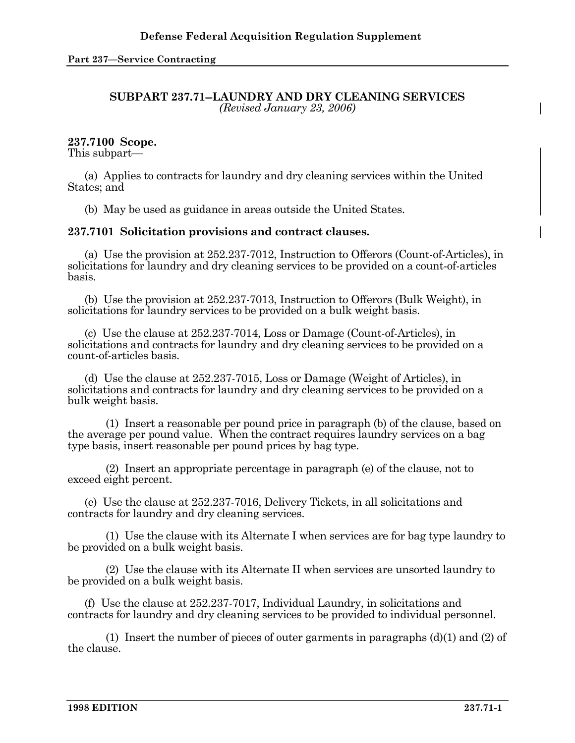## **SUBPART 237.71--LAUNDRY AND DRY CLEANING SERVICES**  *(Revised January 23, 2006)*

## **237.7100 Scope.**

This subpart—

 (a) Applies to contracts for laundry and dry cleaning services within the United States; and

(b) May be used as guidance in areas outside the United States.

## **237.7101 Solicitation provisions and contract clauses.**

 (a) Use the provision at 252.237-7012, Instruction to Offerors (Count-of-Articles), in solicitations for laundry and dry cleaning services to be provided on a count-of-articles basis.

 (b) Use the provision at 252.237-7013, Instruction to Offerors (Bulk Weight), in solicitations for laundry services to be provided on a bulk weight basis.

 (c) Use the clause at 252.237-7014, Loss or Damage (Count-of-Articles), in solicitations and contracts for laundry and dry cleaning services to be provided on a count-of-articles basis.

 (d) Use the clause at 252.237-7015, Loss or Damage (Weight of Articles), in solicitations and contracts for laundry and dry cleaning services to be provided on a bulk weight basis.

 (1) Insert a reasonable per pound price in paragraph (b) of the clause, based on the average per pound value. When the contract requires laundry services on a bag type basis, insert reasonable per pound prices by bag type.

 (2) Insert an appropriate percentage in paragraph (e) of the clause, not to exceed eight percent.

 (e) Use the clause at 252.237-7016, Delivery Tickets, in all solicitations and contracts for laundry and dry cleaning services.

 (1) Use the clause with its Alternate I when services are for bag type laundry to be provided on a bulk weight basis.

 (2) Use the clause with its Alternate II when services are unsorted laundry to be provided on a bulk weight basis.

 (f) Use the clause at 252.237-7017, Individual Laundry, in solicitations and contracts for laundry and dry cleaning services to be provided to individual personnel.

 (1) Insert the number of pieces of outer garments in paragraphs (d)(1) and (2) of the clause.